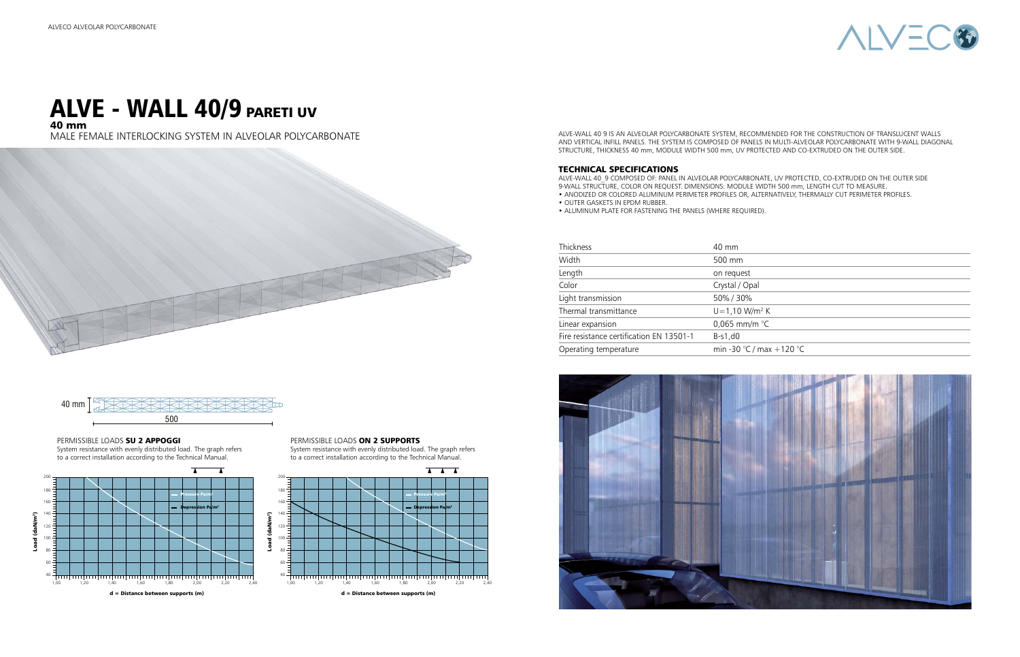ALVE-WALL 40 9 IS AN ALVEOLAR POLYCARBONATE SYSTEM, RECOMMENDED FOR THE CONSTRUCTION OF TRANSLUCENT WALLS AND VERTICAL INFILL PANELS. THE SYSTEM IS COMPOSED OF PANELS IN MULTI-ALVEOLAR POLYCARBONATE WITH 9-WALL DIAGONAL STRUCTURE, THICKNESS 40 mm, MODULE WIDTH 500 mm, UV PROTECTED AND CO-EXTRUDED ON THE OUTER SIDE.

#### TECHNICAL SPECIFICATIONS

ALVE-WALL 40\_9 COMPOSED OF: PANEL IN ALVEOLAR POLYCARBONATE, UV PROTECTED, CO-EXTRUDED ON THE OUTER SIDE 9-WALL STRUCTURE, COLOR ON REQUEST. DIMENSIONS: MODULE WIDTH 500 mm, LENGTH CUT TO MEASURE. • ANODIZED OR COLORED ALUMINUM PERIMETER PROFILES OR, ALTERNATIVELY, THERMALLY CUT PERIMETER PROFILES.

### ALVE - WALL 40/9 PARETI UV 40 mm

• OUTER GASKETS IN EPDM RUBBER.

• ALUMINUM PLATE FOR FASTENING THE PANELS (WHERE REQUIRED).

| <b>Thickness</b>                         | 40 mm                         |  |
|------------------------------------------|-------------------------------|--|
| Width                                    | 500 mm                        |  |
| Length                                   | on request                    |  |
| Color                                    | Crystal / Opal                |  |
| Light transmission                       | 50%/30%                       |  |
| Thermal transmittance                    | $U = 1,10$ W/m <sup>2</sup> K |  |
| Linear expansion                         | 0,065 mm/m $^{\circ}$ C       |  |
| Fire resistance certification EN 13501-1 | B-s1,d0                       |  |
| Operating temperature                    | min -30 °C / max              |  |





 $ax + 120 °C$ 

MALE FEMALE INTERLOCKING SYSTEM IN ALVEOLAR POLYCARBONATE







#### PERMISSIBLE LOADS ON 2 SUPPORTS

PERMISSIBLE LOADS SU 2 APPOGGI



System resistance with evenly distributed load. The graph refers to a correct installation according to the Technical Manual.

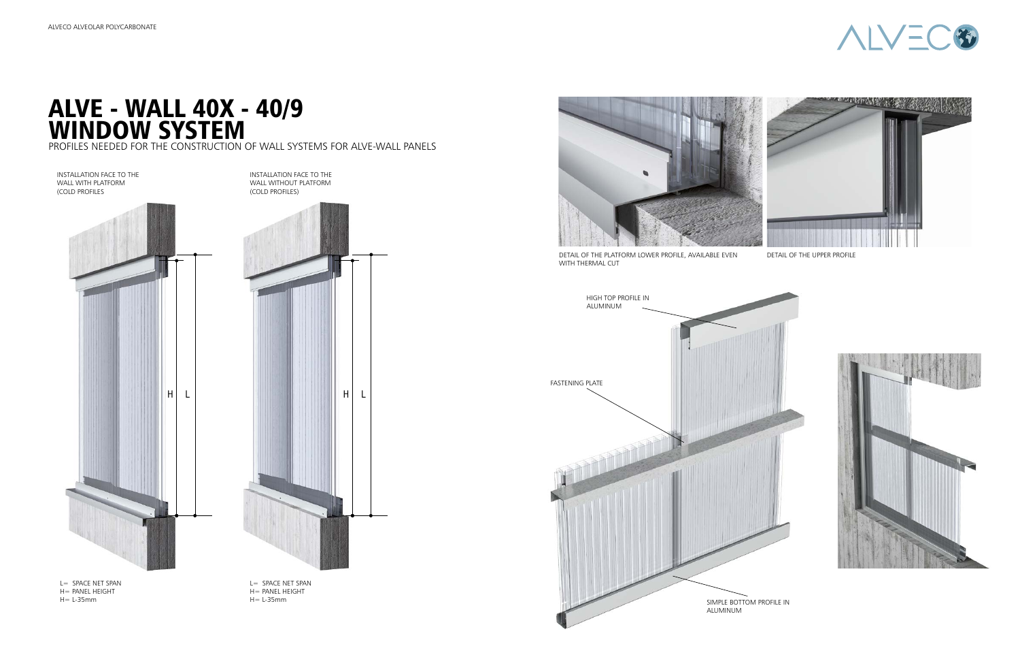L= SPACE NET SPAN H= PANEL HEIGHT H= L-35mm

# ALVE - WALL 40X - 40/9 WINDOW SYSTEM

PROFILES NEEDED FOR THE CONSTRUCTION OF WALL SYSTEMS FOR ALVE-WALL PANELS



L= SPACE NET SPAN H= PANEL HEIGHT H= L-35mm

INSTALLATION FACE TO THE WALL WITHOUT PLATFORM



DETAIL OF THE PLATFORM LOWER PROFILE, AVAILABLE EVEN WITH THERMAL CUT





DETAIL OF THE UPPER PROFILE



INSTALLATION FACE TO THE WALL WITH PLATFORM (COLD PROFILES



(COLD PROFILES)